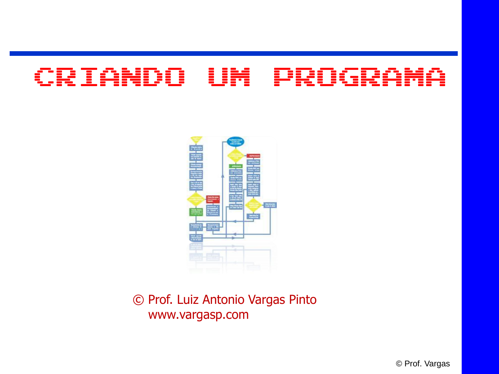#### CRIANDO UM PROGR



© Prof. Luiz Antonio Vargas Pinto www.vargasp.com

© Prof. Vargas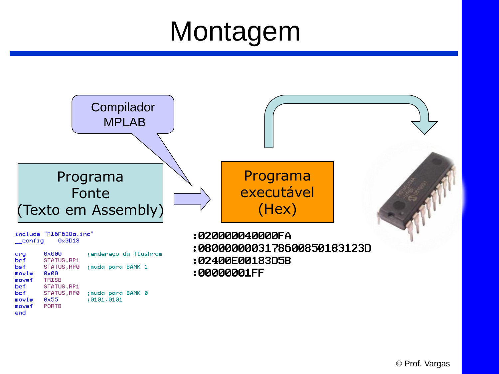## Montagem



**PORTB** 

mo∨wf end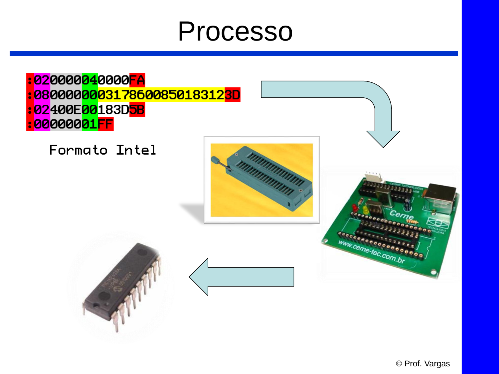### Processo

820000<mark>04</mark>0000<mark>FA</mark> : 080000000317860085018312<mark>3D</mark> 82400E00183D<mark>5B</mark> **:00000001FF** 

Formato Intel





www.come-tec.com.br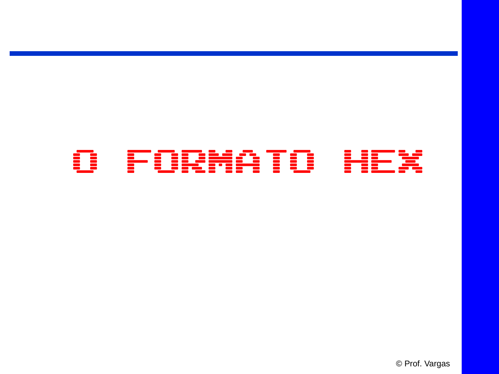### O FORMATO HEX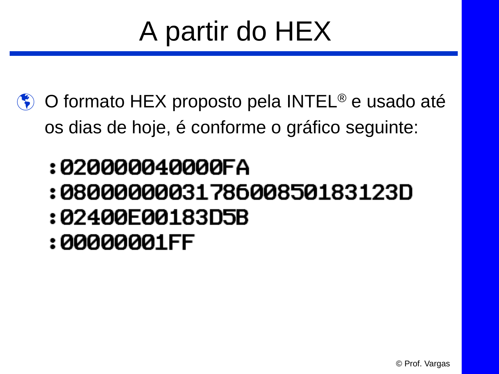# A partir do HEX

- **♦ O formato HEX proposto pela INTEL<sup>®</sup> e usado até** os dias de hoje, é conforme o gráfico seguinte:
	- :020000040000FA
	- :0800000003178600850183123D
	- :02400E00183D5B
	- :00000001FF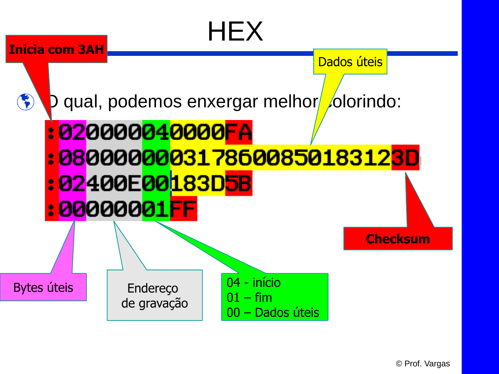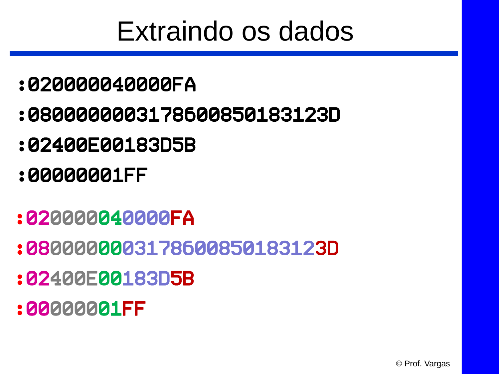## Extraindo os dados

- :020000040000FA
- :0800000003178600850183123D
- :02400E00183D5B
- :00000001FF
- :020000040000FA
- :0800000003178600850183123D
- :02400E00183D5B
- :00000001FF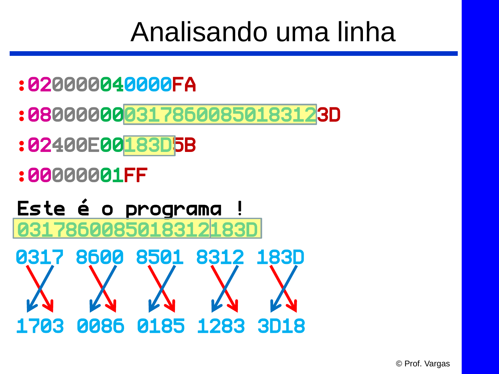### Analisando uma linha

- :020000040000FA
- :0800000003178600850183123D
- :02400E00183D5B
- :00000001FF
- Este é o programa ! 03178600850183121830

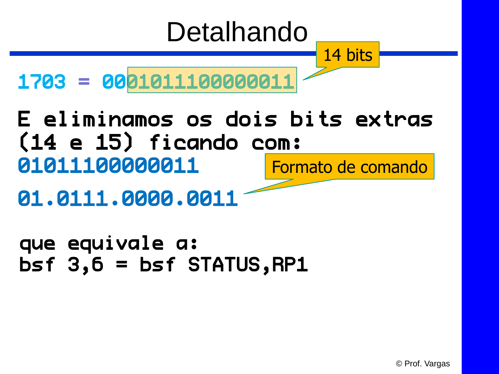# Detalhando

14 bits

1703 = 0001011100000011

E eliminamos os dois bits extras (14 e 15) ficando com: 01011100000011 Formato de comando

01.0111.0000.0011

que equivale a:  $bsf$  3,6 =  $bsf$  STATUS, RP1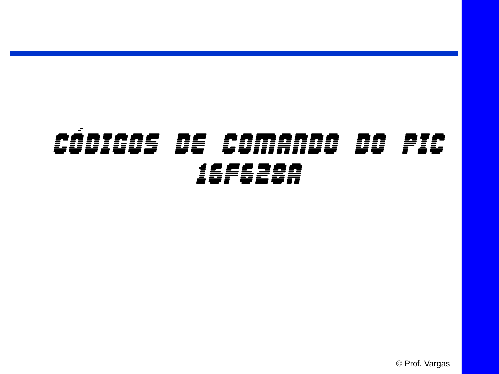| $\overline{\phantom{a}}$<br>$\bullet$<br><i>==</i> ==<br>Ξ.<br>_ _ _<br>==== | OE<br>══<br>$\sim$ | <i>=========</i><br>Ē.<br>_ | 00<br>$\, = \,$ | FIC<br>e de la composición de la composición de la composición de la composición de la composición de la composición<br>En la composición de la composición de la composición de la composición de la composición de la composición d<br>C |  |  |  |
|------------------------------------------------------------------------------|--------------------|-----------------------------|-----------------|--------------------------------------------------------------------------------------------------------------------------------------------------------------------------------------------------------------------------------------------|--|--|--|
| <b>ED</b><br>T 三 三<br>__ __ __<br>Ξ                                          |                    |                             |                 |                                                                                                                                                                                                                                            |  |  |  |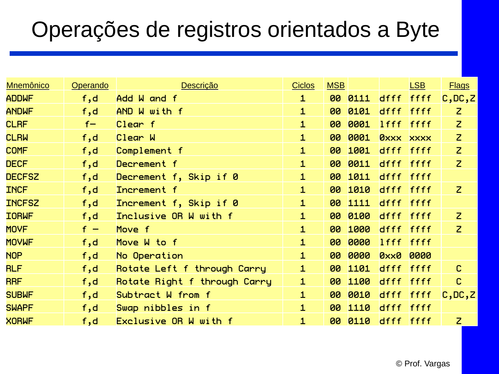#### Operações de registros orientados a Byte

| <b>Mnemônico</b> | Operando | <b>Descrição</b>             | <b>Ciclos</b> | <b>MSB</b> |         |                  | <b>LSB</b>  | <b>Flags</b>   |
|------------------|----------|------------------------------|---------------|------------|---------|------------------|-------------|----------------|
| <b>ADDWF</b>     | f, d     | Add W and f                  | $\mathbf{1}$  |            | 00 0111 | dfff             | ffff        | C,DC, Z        |
| <b>ANDWF</b>     | f, d     | AND W with f                 | $\mathbf{1}$  | 00         | 0101    | dfff ffff        |             | $\mathsf{Z}$   |
| <b>CLRF</b>      | $f -$    | Clear f                      | $\mathbf{1}$  | 00         | 0001    | lfff ffff        |             | $\overline{z}$ |
| <b>CLRW</b>      | f, d     | Clear W                      | $\mathbf{1}$  | 00         | 0001    | <b>OXXX XXXX</b> |             | $\overline{z}$ |
| <b>COMF</b>      | f, d     | Complement f                 | $\mathbf{1}$  | 00         | 1001    | dfff ffff        |             | $\overline{z}$ |
| <b>DECF</b>      | f, d     | Decrement f                  | $\mathbf{1}$  | 00         | 0011    | dfff ffff        |             | $\mathsf{Z}$   |
| <b>DECFSZ</b>    | f, d     | Decrement f, Skip if 0       | $\mathbf{1}$  | 80         | 1011    | dfff ffff        |             |                |
| <b>INCF</b>      | f, d     | Increment f                  | $\mathbf{1}$  |            | 00 1010 | dfff ffff        |             | $\mathsf{Z}$   |
| <b>INCFSZ</b>    | f, d     | Increment f, Skip if 0       | $\mathbf{1}$  | 00         | 1111    | dfff ffff        |             |                |
| <b>IORWF</b>     | f,d      | Inclusive OR W with f        | $\mathbf{1}$  | 80         | 0100    | dfff ffff        |             | $\overline{z}$ |
| <b>MOVF</b>      | $f -$    | Move f                       | $\mathbf{1}$  | 00         | 1000    | dfff ffff        |             | $\overline{z}$ |
| <b>MOVWF</b>     | f, d     | Move W to f                  | $\mathbf{1}$  | 00         | 0000    | $l$ fff          | <b>ffff</b> |                |
| <b>NOP</b>       | f, d     | No Operation                 | $\mathbf{1}$  | 00         | 0000    | <b>Oxx0</b>      | 0000        |                |
| <b>RLF</b>       | f,d      | Rotate Left f through Carry  | $\mathbf{1}$  | 80         | 1101    | dfff             | ffff        | $\mathsf{C}$   |
| <b>RRF</b>       | f, d     | Rotate Right f through Carry | $\mathbf{1}$  | 80         | 1100    | dfff             | <b>ffff</b> | $\mathbf{C}$   |
| <b>SUBWF</b>     | f, d     | Subtract W from f            | $\mathbf{1}$  | 00         | 0010    | dfff ffff        |             | C,DC, Z        |
| <b>SWAPF</b>     | f,d      | Swap nibbles in f            | $\mathbf{1}$  | 00         | 1110    | dfff             | <b>ffff</b> |                |
| <b>XORWF</b>     | f,d      | Exclusive OR W with f        | $\mathbf{1}$  | 00         | 0110    | dfff ffff        |             | $\overline{z}$ |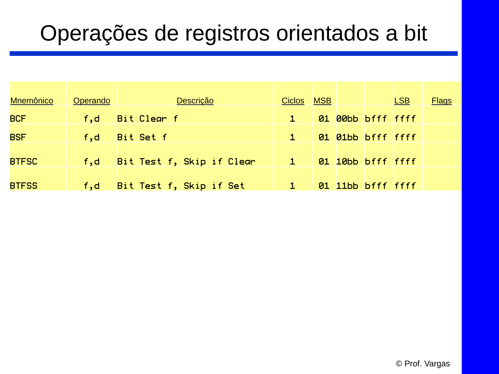#### Operações de registros orientados a bit

| <b>Mnemônico</b> | Operando      | Descrição                 | Ciclos | <b>MSB</b> |                   | <b>LSB</b> | <b>Flags</b> |
|------------------|---------------|---------------------------|--------|------------|-------------------|------------|--------------|
| <b>BCF</b>       | f,d           | Bit Clear f               |        |            | 01 00bb bfff ffff |            |              |
| <b>BSF</b>       | f,d           | Bit Set f                 |        |            | 01 01bb bfff ffff |            |              |
| <b>BTFSC</b>     | $\sqrt{f}$ ,d | Bit Test f, Skip if Clear |        |            | 01 10bb bfff ffff |            |              |
|                  |               |                           |        |            |                   |            |              |
| <b>BTFSS</b>     | f, d          | Bit Test f, Skip if Set   |        |            | 01 11bb bfff ffff |            |              |